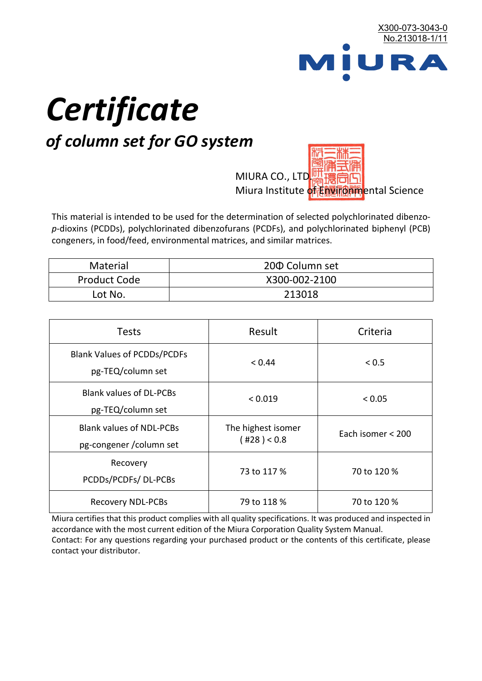

# *Certificate*

## *of column set for GO system*

MIURA CO., LTD. Miura Institute of 正版而解ental Science

This material is intended to be used for the determination of selected polychlorinated dibenzo*p*-dioxins (PCDDs), polychlorinated dibenzofurans (PCDFs), and polychlorinated biphenyl (PCB) congeners, in food/feed, environmental matrices, and similar matrices.

| <b>Material</b>     | 200 Column set |
|---------------------|----------------|
| <b>Product Code</b> | X300-002-2100  |
| Lot No.             | 213018         |

| <b>Tests</b>                                                | Result                            | Criteria          |
|-------------------------------------------------------------|-----------------------------------|-------------------|
| <b>Blank Values of PCDDs/PCDFs</b><br>pg-TEQ/column set     | < 0.44                            | < 0.5             |
| <b>Blank values of DL-PCBs</b><br>pg-TEQ/column set         | < 0.019                           | < 0.05            |
| <b>Blank values of NDL-PCBs</b><br>pg-congener / column set | The highest isomer<br>(428) < 0.8 | Each isomer < 200 |
| Recovery<br>PCDDs/PCDFs/DL-PCBs                             | 73 to 117 %                       | 70 to 120 %       |
| <b>Recovery NDL-PCBs</b>                                    | 79 to 118 %                       | 70 to 120 %       |

Miura certifies that this product complies with all quality specifications. It was produced and inspected in accordance with the most current edition of the Miura Corporation Quality System Manual. Contact: For any questions regarding your purchased product or the contents of this certificate, please contact your distributor.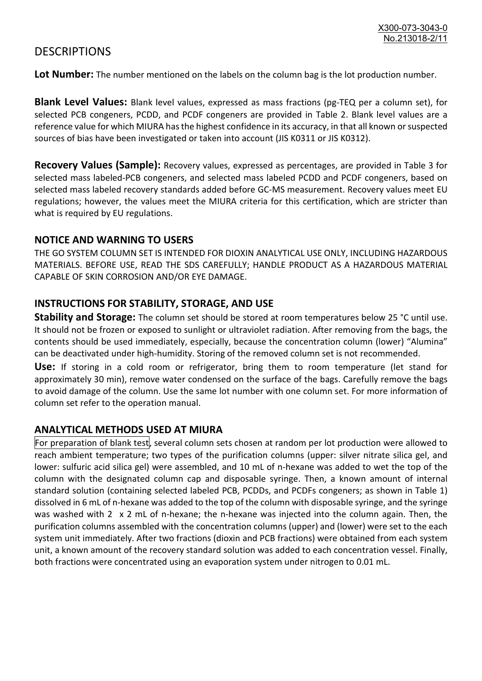### **DESCRIPTIONS**

**Lot Number:** The number mentioned on the labels on the column bag is the lot production number.

**Blank Level Values:** Blank level values, expressed as mass fractions (pg-TEQ per a column set), for selected PCB congeners, PCDD, and PCDF congeners are provided in Table 2. Blank level values are a reference value for which MIURA has the highest confidence in its accuracy, in that all known or suspected sources of bias have been investigated or taken into account (JIS K0311 or JIS K0312).

**Recovery Values (Sample):** Recovery values, expressed as percentages, are provided in Table 3 for selected mass labeled-PCB congeners, and selected mass labeled PCDD and PCDF congeners, based on selected mass labeled recovery standards added before GC-MS measurement. Recovery values meet EU regulations; however, the values meet the MIURA criteria for this certification, which are stricter than what is required by EU regulations.

#### **NOTICE AND WARNING TO USERS**

THE GO SYSTEM COLUMN SET IS INTENDED FOR DIOXIN ANALYTICAL USE ONLY, INCLUDING HAZARDOUS MATERIALS. BEFORE USE, READ THE SDS CAREFULLY; HANDLE PRODUCT AS A HAZARDOUS MATERIAL CAPABLE OF SKIN CORROSION AND/OR EYE DAMAGE.

#### **INSTRUCTIONS FOR STABILITY, STORAGE, AND USE**

**Stability and Storage:** The column set should be stored at room temperatures below 25 °C until use. It should not be frozen or exposed to sunlight or ultraviolet radiation. After removing from the bags, the contents should be used immediately, especially, because the concentration column (lower) "Alumina" can be deactivated under high-humidity. Storing of the removed column set is not recommended.

**Use:** If storing in a cold room or refrigerator, bring them to room temperature (let stand for approximately 30 min), remove water condensed on the surface of the bags. Carefully remove the bags to avoid damage of the column. Use the same lot number with one column set. For more information of column set refer to the operation manual.

#### **ANALYTICAL METHODS USED AT MIURA**

For preparation of blank test, several column sets chosen at random per lot production were allowed to reach ambient temperature; two types of the purification columns (upper: silver nitrate silica gel, and lower: sulfuric acid silica gel) were assembled, and 10 mL of n-hexane was added to wet the top of the column with the designated column cap and disposable syringe. Then, a known amount of internal standard solution (containing selected labeled PCB, PCDDs, and PCDFs congeners; as shown in Table 1) dissolved in 6 mL of n-hexane was added to the top of the column with disposable syringe, and the syringe was washed with 2 x 2 mL of n-hexane; the n-hexane was injected into the column again. Then, the purification columns assembled with the concentration columns (upper) and (lower) were set to the each system unit immediately. After two fractions (dioxin and PCB fractions) were obtained from each system unit, a known amount of the recovery standard solution was added to each concentration vessel. Finally, both fractions were concentrated using an evaporation system under nitrogen to 0.01 mL.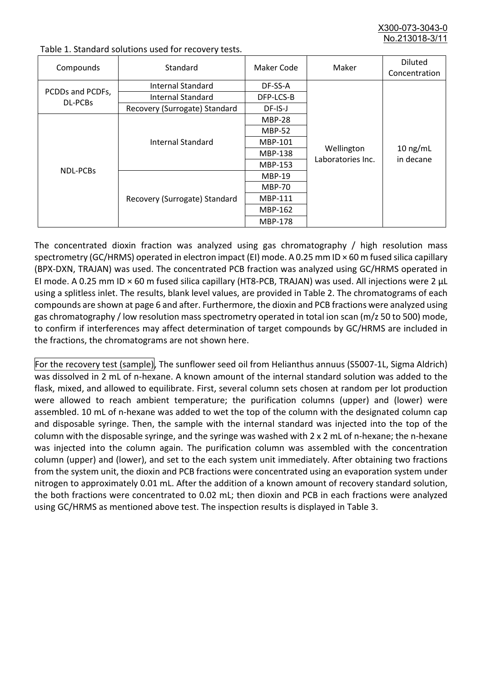X300-073-3043-0 No.213018-3/

| Compounds                          | Standard                      | Maker Code     | Maker                           | <b>Diluted</b><br>Concentration |
|------------------------------------|-------------------------------|----------------|---------------------------------|---------------------------------|
| PCDDs and PCDFs,<br><b>DL-PCBs</b> | Internal Standard             | DF-SS-A        |                                 | $10$ ng/mL<br>in decane         |
|                                    | <b>Internal Standard</b>      | DFP-LCS-B      | Wellington<br>Laboratories Inc. |                                 |
|                                    | Recovery (Surrogate) Standard | DF-IS-J        |                                 |                                 |
| <b>NDL-PCBs</b>                    | Internal Standard             | <b>MBP-28</b>  |                                 |                                 |
|                                    |                               | <b>MBP-52</b>  |                                 |                                 |
|                                    |                               | MBP-101        |                                 |                                 |
|                                    |                               | <b>MBP-138</b> |                                 |                                 |
|                                    |                               | MBP-153        |                                 |                                 |
|                                    | Recovery (Surrogate) Standard | <b>MBP-19</b>  |                                 |                                 |
|                                    |                               | <b>MBP-70</b>  |                                 |                                 |
|                                    |                               | <b>MBP-111</b> |                                 |                                 |
|                                    |                               | MBP-162        |                                 |                                 |
|                                    |                               | <b>MBP-178</b> |                                 |                                 |

Table 1. Standard solutions used for recovery tests.

The concentrated dioxin fraction was analyzed using gas chromatography / high resolution mass spectrometry (GC/HRMS) operated in electron impact (EI) mode. A 0.25 mm ID × 60 m fused silica capillary (BPX-DXN, TRAJAN) was used. The concentrated PCB fraction was analyzed using GC/HRMS operated in EI mode. A 0.25 mm ID × 60 m fused silica capillary (HT8-PCB, TRAJAN) was used. All injections were 2 μL using a splitless inlet. The results, blank level values, are provided in Table 2. The chromatograms of each compounds are shown at page 6 and after. Furthermore, the dioxin and PCB fractions were analyzed using gas chromatography / low resolution mass spectrometry operated in total ion scan (m/z 50 to 500) mode, to confirm if interferences may affect determination of target compounds by GC/HRMS are included in the fractions, the chromatograms are not shown here.

For the recovery test (sample), The sunflower seed oil from Helianthus annuus (S5007-1L, Sigma Aldrich) was dissolved in 2 mL of n-hexane. A known amount of the internal standard solution was added to the flask, mixed, and allowed to equilibrate. First, several column sets chosen at random per lot production were allowed to reach ambient temperature; the purification columns (upper) and (lower) were assembled. 10 mL of n-hexane was added to wet the top of the column with the designated column cap and disposable syringe. Then, the sample with the internal standard was injected into the top of the column with the disposable syringe, and the syringe was washed with 2 x 2 mL of n-hexane; the n-hexane was injected into the column again. The purification column was assembled with the concentration column (upper) and (lower), and set to the each system unit immediately. After obtaining two fractions from the system unit, the dioxin and PCB fractions were concentrated using an evaporation system under nitrogen to approximately 0.01 mL. After the addition of a known amount of recovery standard solution, the both fractions were concentrated to 0.02 mL; then dioxin and PCB in each fractions were analyzed using GC/HRMS as mentioned above test. The inspection results is displayed in Table 3.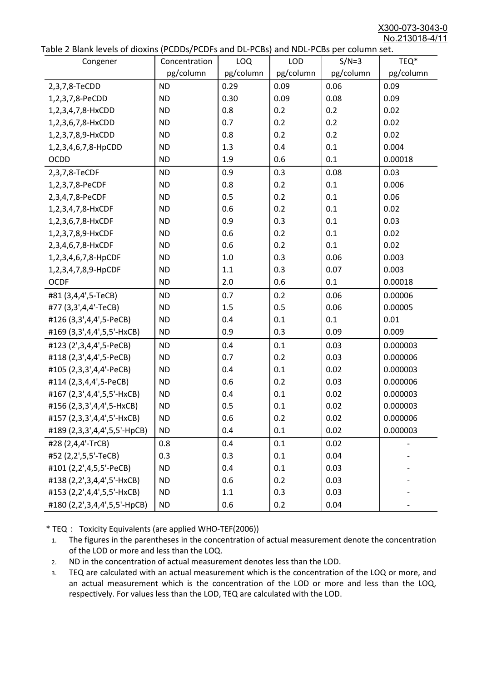X300-073-3043-0 No.213018-4/11

|  | Table 2 Blank levels of dioxins (PCDDs/PCDFs and DL-PCBs) and NDL-PCBs per column set. |
|--|----------------------------------------------------------------------------------------|
|--|----------------------------------------------------------------------------------------|

| abic 2 Diarik icveis of dioxins (I CDD3/TCDTs and DET CD3/ and NDET CD3 pcr column sett.<br>Congener | Concentration | <b>LOQ</b> | <b>LOD</b> | $S/N=3$   | TEQ*      |
|------------------------------------------------------------------------------------------------------|---------------|------------|------------|-----------|-----------|
|                                                                                                      | pg/column     | pg/column  | pg/column  | pg/column | pg/column |
| 2,3,7,8-TeCDD                                                                                        | <b>ND</b>     | 0.29       | 0.09       | 0.06      | 0.09      |
| 1,2,3,7,8-PeCDD                                                                                      | <b>ND</b>     | 0.30       | 0.09       | 0.08      | 0.09      |
| 1,2,3,4,7,8-HxCDD                                                                                    | <b>ND</b>     | 0.8        | 0.2        | 0.2       | 0.02      |
| 1,2,3,6,7,8-HxCDD                                                                                    | <b>ND</b>     | 0.7        | 0.2        | 0.2       | 0.02      |
| 1,2,3,7,8,9-HxCDD                                                                                    | <b>ND</b>     | 0.8        | 0.2        | 0.2       | 0.02      |
| 1,2,3,4,6,7,8-HpCDD                                                                                  | <b>ND</b>     | 1.3        | 0.4        | 0.1       | 0.004     |
| <b>OCDD</b>                                                                                          | <b>ND</b>     | 1.9        | 0.6        | 0.1       | 0.00018   |
| 2,3,7,8-TeCDF                                                                                        | <b>ND</b>     | 0.9        | 0.3        | 0.08      | 0.03      |
| 1,2,3,7,8-PeCDF                                                                                      | <b>ND</b>     | 0.8        | 0.2        | 0.1       | 0.006     |
| 2,3,4,7,8-PeCDF                                                                                      | <b>ND</b>     | 0.5        | 0.2        | 0.1       | 0.06      |
| 1,2,3,4,7,8-HxCDF                                                                                    | <b>ND</b>     | 0.6        | 0.2        | 0.1       | 0.02      |
| 1,2,3,6,7,8-HxCDF                                                                                    | <b>ND</b>     | 0.9        | 0.3        | 0.1       | 0.03      |
| 1,2,3,7,8,9-HxCDF                                                                                    | <b>ND</b>     | 0.6        | 0.2        | 0.1       | 0.02      |
| 2,3,4,6,7,8-HxCDF                                                                                    | <b>ND</b>     | 0.6        | 0.2        | 0.1       | 0.02      |
| 1,2,3,4,6,7,8-HpCDF                                                                                  | <b>ND</b>     | 1.0        | 0.3        | 0.06      | 0.003     |
| 1,2,3,4,7,8,9-HpCDF                                                                                  | <b>ND</b>     | 1.1        | 0.3        | 0.07      | 0.003     |
| <b>OCDF</b>                                                                                          | <b>ND</b>     | 2.0        | 0.6        | 0.1       | 0.00018   |
| #81 (3,4,4',5-TeCB)                                                                                  | <b>ND</b>     | 0.7        | 0.2        | 0.06      | 0.00006   |
| #77 (3,3',4,4'-TeCB)                                                                                 | <b>ND</b>     | 1.5        | 0.5        | 0.06      | 0.00005   |
| #126 (3,3',4,4',5-PeCB)                                                                              | <b>ND</b>     | 0.4        | 0.1        | 0.1       | 0.01      |
| #169 (3,3',4,4',5,5'-HxCB)                                                                           | <b>ND</b>     | 0.9        | 0.3        | 0.09      | 0.009     |
| #123 (2',3,4,4',5-PeCB)                                                                              | <b>ND</b>     | 0.4        | 0.1        | 0.03      | 0.000003  |
| #118 (2,3',4,4',5-PeCB)                                                                              | <b>ND</b>     | 0.7        | 0.2        | 0.03      | 0.000006  |
| #105 (2,3,3',4,4'-PeCB)                                                                              | <b>ND</b>     | 0.4        | 0.1        | 0.02      | 0.000003  |
| #114 (2,3,4,4',5-PeCB)                                                                               | <b>ND</b>     | 0.6        | 0.2        | 0.03      | 0.000006  |
| #167 (2,3',4,4',5,5'-HxCB)                                                                           | <b>ND</b>     | 0.4        | 0.1        | 0.02      | 0.000003  |
| #156 (2,3,3',4,4',5-HxCB)                                                                            | <b>ND</b>     | 0.5        | 0.1        | 0.02      | 0.000003  |
| #157 (2,3,3',4,4',5'-HxCB)                                                                           | <b>ND</b>     | 0.6        | 0.2        | 0.02      | 0.000006  |
| #189 (2,3,3',4,4',5,5'-HpCB)                                                                         | <b>ND</b>     | 0.4        | 0.1        | 0.02      | 0.000003  |
| #28 (2,4,4'-TrCB)                                                                                    | 0.8           | 0.4        | 0.1        | 0.02      |           |
| #52 (2,2',5,5'-TeCB)                                                                                 | 0.3           | 0.3        | 0.1        | 0.04      |           |
| #101 (2,2',4,5,5'-PeCB)                                                                              | <b>ND</b>     | 0.4        | 0.1        | 0.03      |           |
| #138 (2,2',3,4,4',5'-HxCB)                                                                           | <b>ND</b>     | 0.6        | 0.2        | 0.03      |           |
| #153 (2,2',4,4',5,5'-HxCB)                                                                           | <b>ND</b>     | 1.1        | 0.3        | 0.03      |           |
| #180 (2,2',3,4,4',5,5'-HpCB)                                                                         | <b>ND</b>     | 0.6        | 0.2        | 0.04      |           |

\* TEQ: Toxicity Equivalents (are applied WHO-TEF(2006))

- 1. The figures in the parentheses in the concentration of actual measurement denote the concentration of the LOD or more and less than the LOQ.
- 2. ND in the concentration of actual measurement denotes less than the LOD.
- 3. TEQ are calculated with an actual measurement which is the concentration of the LOQ or more, and an actual measurement which is the concentration of the LOD or more and less than the LOQ, respectively. For values less than the LOD, TEQ are calculated with the LOD.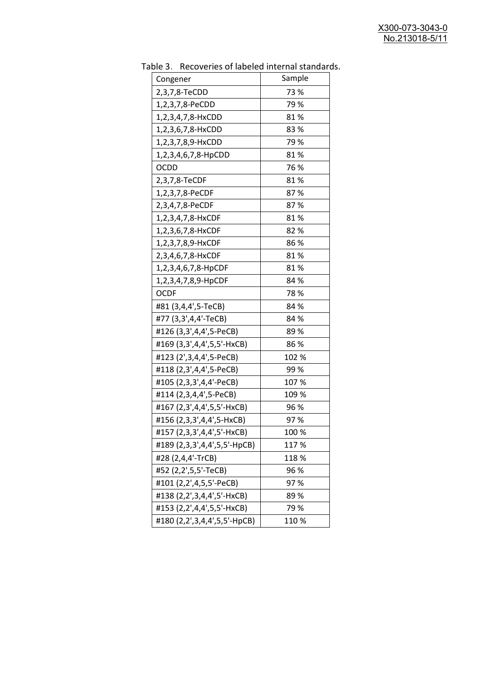| uwic J.<br>Recoveries of fabeled internal standar |        |
|---------------------------------------------------|--------|
| Congener                                          | Sample |
| 2,3,7,8-TeCDD                                     | 73 %   |
| 1,2,3,7,8-PeCDD                                   | 79 %   |
| 1,2,3,4,7,8-HxCDD                                 | 81%    |
| 1,2,3,6,7,8-HxCDD                                 | 83%    |
| 1,2,3,7,8,9-HxCDD                                 | 79 %   |
| 1,2,3,4,6,7,8-HpCDD                               | 81%    |
| <b>OCDD</b>                                       | 76 %   |
| 2,3,7,8-TeCDF                                     | 81%    |
| 1,2,3,7,8-PeCDF                                   | 87%    |
| 2,3,4,7,8-PeCDF                                   | 87%    |
| 1,2,3,4,7,8-HxCDF                                 | 81%    |
| 1,2,3,6,7,8-HxCDF                                 | 82%    |
| 1,2,3,7,8,9-HxCDF                                 | 86%    |
| 2,3,4,6,7,8-HxCDF                                 | 81%    |
| 1,2,3,4,6,7,8-HpCDF                               | 81%    |
| 1,2,3,4,7,8,9-HpCDF                               | 84 %   |
| <b>OCDF</b>                                       | 78%    |
| #81 (3,4,4',5-TeCB)                               | 84 %   |
| #77 (3,3',4,4'-TeCB)                              | 84 %   |
| #126 (3,3',4,4',5-PeCB)                           | 89%    |
| #169 (3,3',4,4',5,5'-HxCB)                        | 86%    |
| #123 (2',3,4,4',5-PeCB)                           | 102 %  |
| #118 (2,3',4,4',5-PeCB)                           | 99%    |
| #105 (2,3,3',4,4'-PeCB)                           | 107 %  |
| #114 (2,3,4,4',5-PeCB)                            | 109 %  |
| #167 (2,3',4,4',5,5'-HxCB)                        | 96 %   |
| #156 (2,3,3',4,4',5-HxCB)                         | 97%    |
| #157 (2,3,3',4,4',5'-HxCB)                        | 100 %  |
| #189 (2,3,3',4,4',5,5'-HpCB)                      | 117%   |
| #28 (2,4,4'-TrCB)                                 | 118 %  |
| #52 (2,2',5,5'-TeCB)                              | 96 %   |
| #101 (2,2',4,5,5'-PeCB)                           | 97%    |
| #138 (2,2',3,4,4',5'-HxCB)                        | 89%    |
| #153 (2,2',4,4',5,5'-HxCB)                        | 79%    |
| #180 (2,2',3,4,4',5,5'-HpCB)                      | 110%   |

Table 3. Recoveries of labeled internal standards.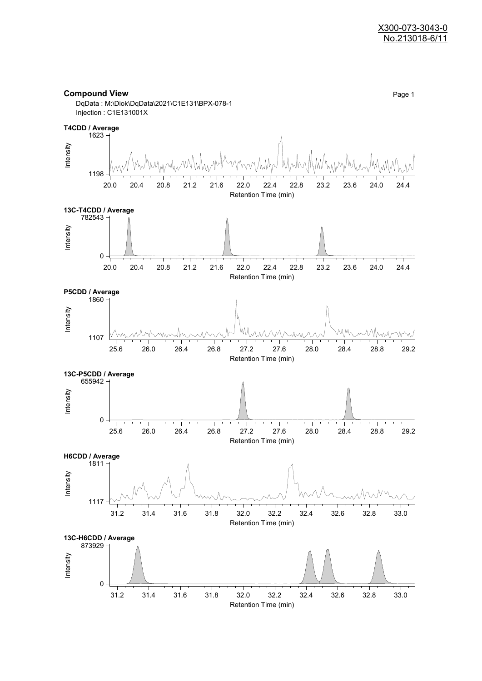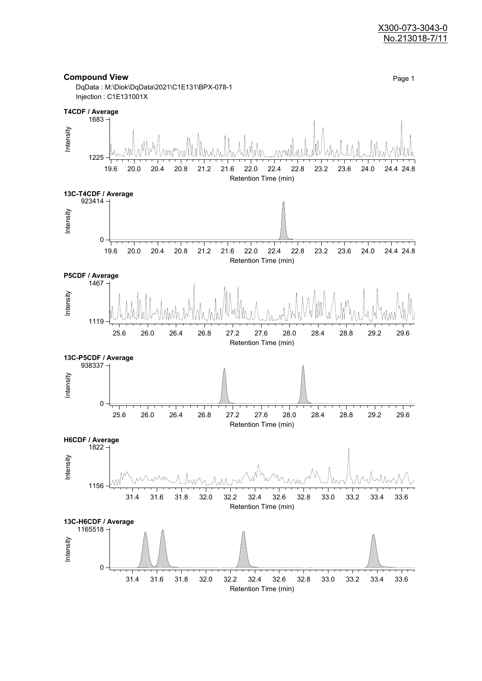#### X300-073-3043-0 No.213018-7/11

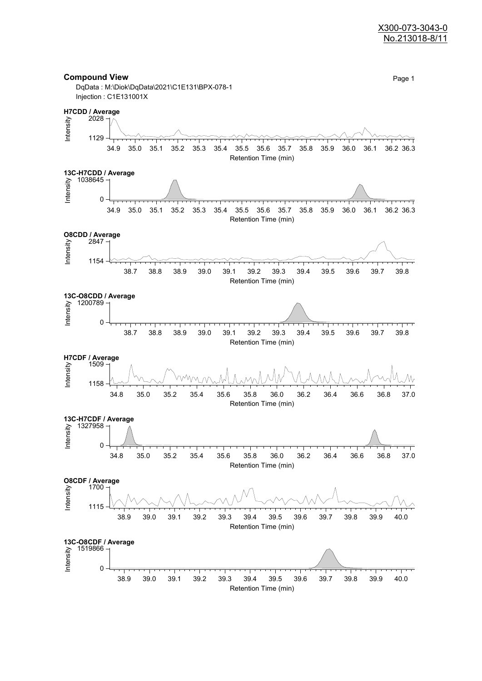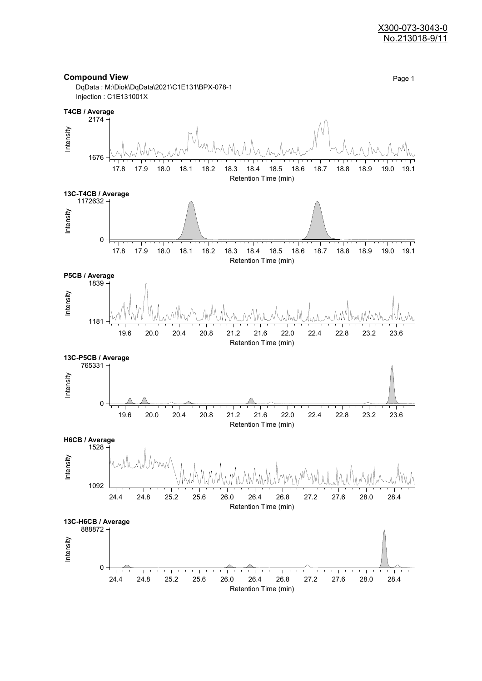

Retention Time (min)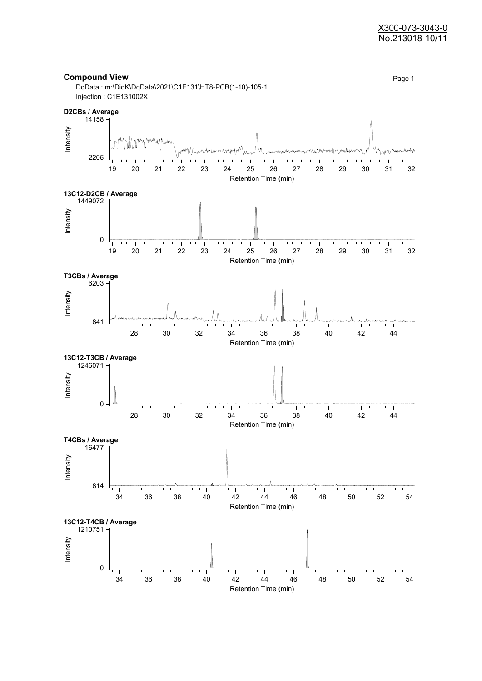